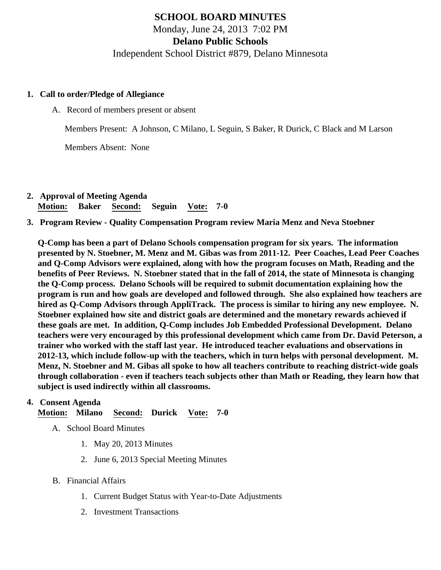# SCHOOL BOARD MINUTES Monday, June 24, 2013 7:02 PM Delano Public Schools Independent School District #879, Delano Minnesota

- 1. Call to order/Pledge of Allegiance
	- A. Record of members present or absent

Members Present: A Johnson, C Milano, L Seguin, S Baker, R Durick, C Black and M Larson

Members Absent: None

- 2. Approval of Meeting Agenda Motion: Baker Second: Seguin Vote: 7-0
- 3. Program Review - [Quality Compensation Program](/docs/district/Q_comp/2012-2013_Program_Overview_ppt_Q-comp.pdf ) review Maria Menz and Neva Stoebner

Q-Comp has been a part of Delano Schools compensation program for six years. The information presented by N. Stoebner, M. Menz and M. Gibas was from 2011-12. Peer Coaches, Lead Peer Coaches and Q-Comp Advisors were explained, along with how the program focuses on Math, Reading and the benefits of Peer Reviews. N. Stoebner stated that in the fall of 2014, the state of Minnesota is changing the Q-Comp process. Delano Schools will be required to submit documentation explaining how the program is run and how goals are developed and followed through. She also explained how teachers are hired as Q-Comp Advisors through AppliTrack. The process is similar to hiring any new employee. N. Stoebner explained how site and district goals are determined and the monetary rewards achieved if these goals are met. In addition, Q-Comp includes Job Embedded Professional Development. Delano teachers were very encouraged by this professional development which came from Dr. David Peterson, a trainer who worked with the staff last year. He introduced teacher evaluations and observations in 2012-13, which include follow-up with the teachers, which in turn helps with personal development. M. Menz, N. Stoebner and M. Gibas all spoke to how all teachers contribute to reaching district-wide goals through collaboration - even if teachers teach subjects other than Math or Reading, they learn how that subject is used indirectly within all classrooms.

#### 4. Consent Agenda

Motion: Milano Second: Durick Vote: 7-0

- A. School Board Minutes
	- 1. [May 20, 2013 Minute](/docs/district/Business_Office/5.20.13_Board_Minutes.pdf)s
	- 2. [June 6, 2013 Special Meeting Minu](/docs/district/Business_Office/Board_Minutes_6.6.13.pdf)tes
- B. Financial Affairs
	- 1. [Current Budge](/docs/district/Business_Office/Budget_Report_June_2013.pdf)Statuswith Year-to-Date Adjustments
	- 2. [Investment Transactio](/docs/district/Business_Office/Investment_schedule_12-13.pdf  )ns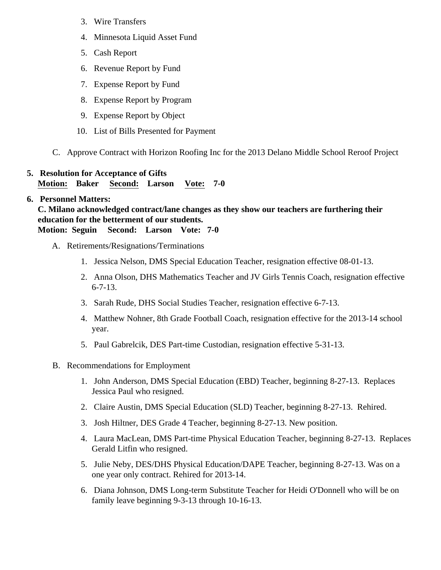- 3. [Wire Transfer](/docs/district/Business_Office/Wire_Transfer.pdf  )s
- 4. [Minnesota Liquid Asset Fun](/docs/district/Business_Office/Liq_AFY13.pdf )d
- 5. [Cash Repo](/docs/district/Business_Office/Cash_Report.pdf  )rt
- 6. [Revenue Report by Fu](/docs/district/Business_Office/SCHOOL_BOARD_REPORTS_-_REVENUE_BY_FUND_TOTAL__(Date__6_2013).pdf)nd
- 7. [Expense Report by Fu](/docs/district/Business_Office/SCHOOL_BOARD_REPORTS_-_EXP_BY_FUND_TOTAL__(Date__6_2013).pdf)nd
- 8. [Expense Report by Progra](/docs/district/Business_Office/SCHOOL_BOARD_REPORTS_-_EXPENDITURES_BY_PROGRAM__(Date__6_2013).pdf)m
- 9. [Expense Report by Obje](/docs/district/Business_Office/SCHOOL_BOARD_REPORTS_-_EXPENDITURES_BY_OBJECT__(Date__6_2013).pdf)ct
- 10. List of [Bills Presented for Payme](/docs/district/Business_Office/Detail_of_Monthly_Bills_Paid_6.24.13.pdf)nt
- C. Approve [Contract with Horizon Roofing In](/docs/district/Business_Office/Horizon_Roofing_Contract_2013.pdf)forthe 2013 Delano Middle School Reroof Project
- 5. [Resolution for Acceptance of Gifts](/docs/district/Business_Office/Resolution_for_Acceptance_of_Gifts_6.24.13.pdf) Motion: Baker Second: Larson Vote: 7-0

## 6. Personnel Matters:

C. Milano acknowledged contract/lane changes as they show our teachers are furthering their education for the betterment of our students. Motion: Seguin Second: Larson Vote: 7-0

A. Retirements/Resignations/Terminations

- 1. Jessica Nelson, DMS Special Education Teacher, resignation effective 08-01-13.
- 2. Anna Olson, DHS Mathematics Teacher and JV Girls Tennis Coach, resignation effective 6-7-13.
- 3. Sarah Rude, DHS Social Studies Teacher, resignation effective 6-7-13.
- 4. Matthew Nohner, 8th Grade Football Coach, resignation effective for the 2013-14 school year.
- 5. Paul Gabrelcik, DES Part-time Custodian, resignation effective 5-31-13.
- B. Recommendations for Employment
	- 1. John Anderson, DMS Special Education (EBD) Teacher, beginning 8-27-13. Replaces Jessica Paul who resigned.
	- 2. Claire Austin, DMS Special Education (SLD) Teacher, beginning 8-27-13. Rehired.
	- 3. Josh Hiltner, DES Grade 4 Teacher, beginning 8-27-13. New position.
	- 4. Laura MacLean, DMS Part-time Physical Education Teacher, beginning 8-27-13. Replaces Gerald Litfin who resigned.
	- 5. Julie Neby, DES/DHS Physical Education/DAPE Teacher, beginning 8-27-13. Was on a one year only contract. Rehired for 2013-14.
	- 6. Diana Johnson, DMS Long-term Substitute Teacher for Heidi O'Donnell who will be on family leave beginning 9-3-13 through 10-16-13.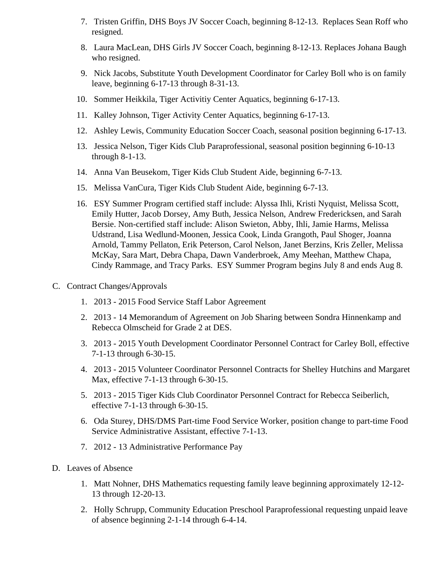- 7. Tristen Griffin, DHS Boys JV Soccer Coach, beginning 8-12-13. Replaces Sean Roff who resigned.
- 8. Laura MacLean, DHS Girls JV Soccer Coach, beginning 8-12-13. Replaces Johana Baugh who resigned.
- 9. Nick Jacobs, Substitute Youth Development Coordinator for Carley Boll who is on family leave, beginning 6-17-13 through 8-31-13.
- 10. Sommer Heikkila, Tiger Activitiy Center Aquatics, beginning 6-17-13.
- 11. Kalley Johnson, Tiger Activity Center Aquatics, beginning 6-17-13.
- 12. Ashley Lewis, Community Education Soccer Coach, seasonal position beginning 6-17-13.
- 13. Jessica Nelson, Tiger Kids Club Paraprofessional, seasonal position beginning 6-10-13 through 8-1-13.
- 14. Anna Van Beusekom, Tiger Kids Club Student Aide, beginning 6-7-13.
- 15. Melissa VanCura, Tiger Kids Club Student Aide, beginning 6-7-13.
- 16. ESY Summer Program certified staff include: Alyssa Ihli, Kristi Nyquist, Melissa Scott, Emily Hutter, Jacob Dorsey, Amy Buth, Jessica Nelson, Andrew Fredericksen, and Sarah Bersie. Non-certified staff include: Alison Swieton, Abby, Ihli, Jamie Harms, Melissa Udstrand, Lisa Wedlund-Moonen, Jessica Cook, Linda Grangoth, Paul Shoger, Joanna Arnold, Tammy Pellaton, Erik Peterson, Carol Nelson, Janet Berzins, Kris Zeller, Melissa McKay, Sara Mart, Debra Chapa, Dawn Vanderbroek, Amy Meehan, Matthew Chapa, Cindy Rammage, and Tracy Parks. ESY Summer Program begins July 8 and ends Aug 8.
- C. Contract Changes/Approvals
	- 1. 2013 2015 Food Service Staff Labor Agreement
	- 2. 2013 14 Memorandum of Agreement on Job Sharing between Sondra Hinnenkamp and Rebecca Olmscheid for Grade 2 at DES.
	- 3. 2013 2015 Youth Development Coordinator Personnel Contract for Carley Boll, effective 7-1-13 through 6-30-15.
	- 4. 2013 2015 Volunteer Coordinator Personnel Contracts for Shelley Hutchins and Margaret Max, effective 7-1-13 through 6-30-15.
	- 5. 2013 2015 Tiger Kids Club Coordinator Personnel Contract for Rebecca Seiberlich, effective 7-1-13 through 6-30-15.
	- 6. Oda Sturey, DHS/DMS Part-time Food Service Worker, position change to part-time Food Service Administrative Assistant, effective 7-1-13.
	- 7. 2012 13 Administrative Performance Pay
- D. Leaves of Absence
	- 1. Matt Nohner, DHS Mathematics requesting family leave beginning approximately 12-12- 13 through 12-20-13.
	- 2. Holly Schrupp, Community Education Preschool Paraprofessional requesting unpaid leave of absence beginning 2-1-14 through 6-4-14.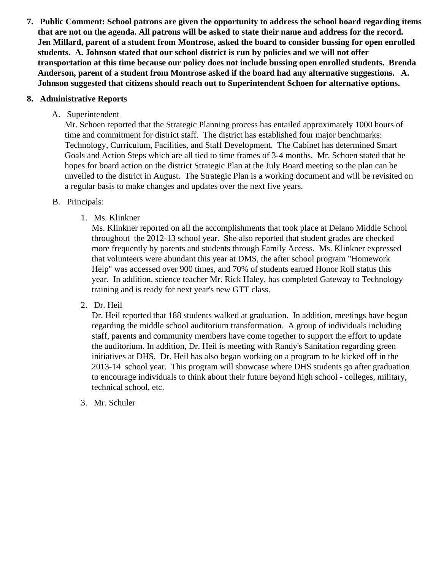- 7. Public Comment: School patrons are given the opportunity to address the school board regarding items that are not on the agenda. All patrons will be asked to state their name and address for the record. Jen Millard, parent of a student from Montrose, asked the board to consider bussing for open enrolled students. A. Johnson stated that our school district is run by policies and we will not offer transportation at this time because our policy does not include bussing open enrolled students. Brenda Anderson, parent of a student from Montrose asked if the board had any alternative suggestions. A. Johnson suggested that citizens should reach out to Superintendent Schoen for alternative options.
- 8. Administrative Reports
	- A. Superintendent

Mr. Schoen reported that the Strategic Planning process has entailed approximately 1000 hours of time and commitment for district staff. The district has established four major benchmarks: Technology, Curriculum, Facilities, and Staff Development. The Cabinet has determined Smart Goals and Action Steps which are all tied to time frames of 3-4 months. Mr. Schoen stated that he hopes for board action on the district Strategic Plan at the July Board meeting so the plan can be unveiled to the district in August. The Strategic Plan is a working document and will be revisited on a regular basis to make changes and updates over the next five years.

- B. Principals:
	- 1. Ms. Klinkner

Ms. Klinkner reported on all the accomplishments that took place at Delano Middle School throughout the 2012-13 school year. She also reported that student grades are checked more frequently by parents and students through Family Access. Ms. Klinkner expressed that volunteers were abundant this year at DMS, the after school program "Homework Help" was accessed over 900 times, and 70% of students earned Honor Roll status this year. In addition, science teacher Mr. Rick Haley, has completed Gateway to Technology training and is ready for next year's new GTT class.

2. Dr. Heil

Dr. Heil reported that 188 students walked at graduation. In addition, meetings have begun regarding the middle school auditorium transformation. A group of individuals including staff, parents and community members have come together to support the effort to update the auditorium. In addition, Dr. Heil is meeting with Randy's Sanitation regarding green initiatives at DHS. Dr. Heil has also began working on a program to be kicked off in the 2013-14 school year. This program will showcase where DHS students go after graduation to encourage individuals to think about their future beyond high school - colleges, military, technical school, etc.

3. Mr. [Schuler](/Minnesota_Reading_Corps_at_Delano_Elementary_PP.pdf)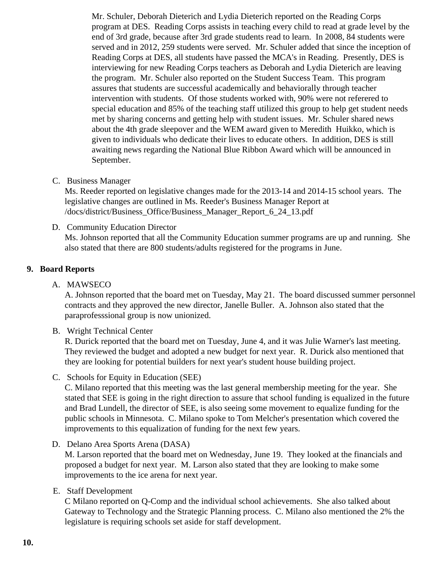Mr. Schuler, Deborah Dieterich and Lydia Dieterich reported on the Reading Corps program at DES. Reading Corps assists in teaching every child to read at grade level by the end of 3rd grade, because after 3rd grade students read to learn. In 2008, 84 students were served and in 2012, 259 students were served. Mr. Schuler added that since the inception Reading Corps at DES, all students have passed the MCA's in Reading. Presently, DES is interviewing for new Reading Corps teachers as Deborah and Lydia Dieterich are leaving the program. Mr. Schuler also reported on the Student Success Team. This program assures that students are successful academically and behaviorally through teacher intervention with students. Of those students worked with, 90% were not referered to special education and 85% of the teaching staff utilized this group to help get student needs met by sharing concerns and getting help with student issues. Mr. Schuler shared news about the 4th grade sleepover and the WEM award given to Meredith Huikko, which is given to individuals who dedicate their lives to educate others. In addition, DES is still awaiting news regarding the National Blue Ribbon Award which will be announced in September.

C. Business Manager

Ms. Reeder reported on legislative changes made for the 2013-14 and 2014-15 school years. The legislative changes are outlined in Ms. Reeder's Business Manager Report at [/docs/district/Business\\_Office/Business\\_Manager\\_Report\\_6\\_24\\_](/docs/district/Business_Office/Business_Manager_Report_6_24_13.pdf)13.pdf

- D. Community Education Director Ms. Johnson reported that all the Community Education summer programs are up and running. She also stated that there are 800 students/adults registered for the programs in June.
- 9. Board Reports
	- A. MAWSECO

A. Johnson reported that the board met on Tuesday, May 21. The board discussed summer perso contracts and they approved the new director, Janelle Buller. A. Johnson also stated that the paraprofesssional group is now unionized.

B. Wright Technical Center

R. Durick reported that the board met on Tuesday, June 4, and it was Julie Warner's last meeting. They reviewed the budget and adopted a new budget for next year. R. Durick also mentioned that they are looking for potential builders for next year's student house building project.

C. Schools for Equity in Education (SEE)

C. Milano reported that this meeting was the last general membership meeting for the year. She stated that SEE is going in the right direction to assure that school funding is equalized in the future and Brad Lundell, the director of SEE, is also seeing some movement to equalize funding for the public schools in Minnesota. C. Milano spoke to Tom Melcher's presentation which covered the improvements to this equalization of funding for the next few years.

D. Delano Area Sports Arena (DASA)

M. Larson reported that the board met on Wednesday, June 19. They looked at the financials and proposed a budget for next year. M. Larson also stated that they are looking to make some improvements to the ice arena for next year.

## E. Staff Development

C Milano reported on Q-Comp and the individual school achievements. She also talked about Gateway to Technology and the Strategic Planning process. C. Milano also mentioned the 2% the legislature is requiring schools set aside for staff development.